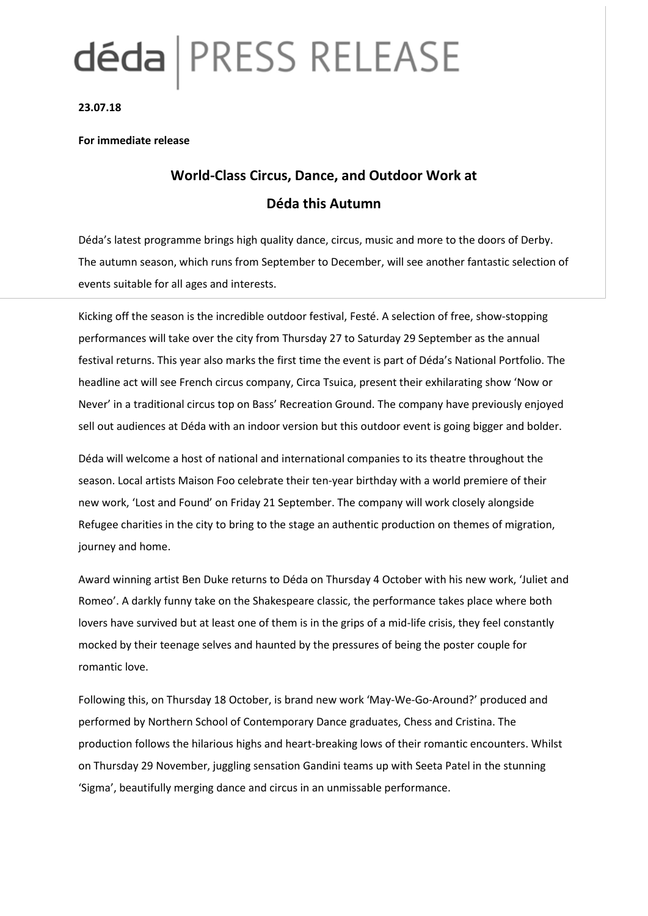# déda | PRESS RELEASE

**23.07.18**

### **For immediate release**

# **World-Class Circus, Dance, and Outdoor Work at Déda this Autumn**

Déda's latest programme brings high quality dance, circus, music and more to the doors of Derby. The autumn season, which runs from September to December, will see another fantastic selection of events suitable for all ages and interests.

Kicking off the season is the incredible outdoor festival, Festé. A selection of free, show-stopping performances will take over the city from Thursday 27 to Saturday 29 September as the annual festival returns. This year also marks the first time the event is part of Déda's National Portfolio. The headline act will see French circus company, Circa Tsuica, present their exhilarating show 'Now or Never' in a traditional circus top on Bass' Recreation Ground. The company have previously enjoyed sell out audiences at Déda with an indoor version but this outdoor event is going bigger and bolder.

Déda will welcome a host of national and international companies to its theatre throughout the season. Local artists Maison Foo celebrate their ten-year birthday with a world premiere of their new work, 'Lost and Found' on Friday 21 September. The company will work closely alongside Refugee charities in the city to bring to the stage an authentic production on themes of migration, journey and home.

Award winning artist Ben Duke returns to Déda on Thursday 4 October with his new work, 'Juliet and Romeo'. A darkly funny take on the Shakespeare classic, the performance takes place where both lovers have survived but at least one of them is in the grips of a mid-life crisis, they feel constantly mocked by their teenage selves and haunted by the pressures of being the poster couple for romantic love.

Following this, on Thursday 18 October, is brand new work 'May-We-Go-Around?' produced and performed by Northern School of Contemporary Dance graduates, Chess and Cristina. The production follows the hilarious highs and heart-breaking lows of their romantic encounters. Whilst on Thursday 29 November, juggling sensation Gandini teams up with Seeta Patel in the stunning 'Sigma', beautifully merging dance and circus in an unmissable performance.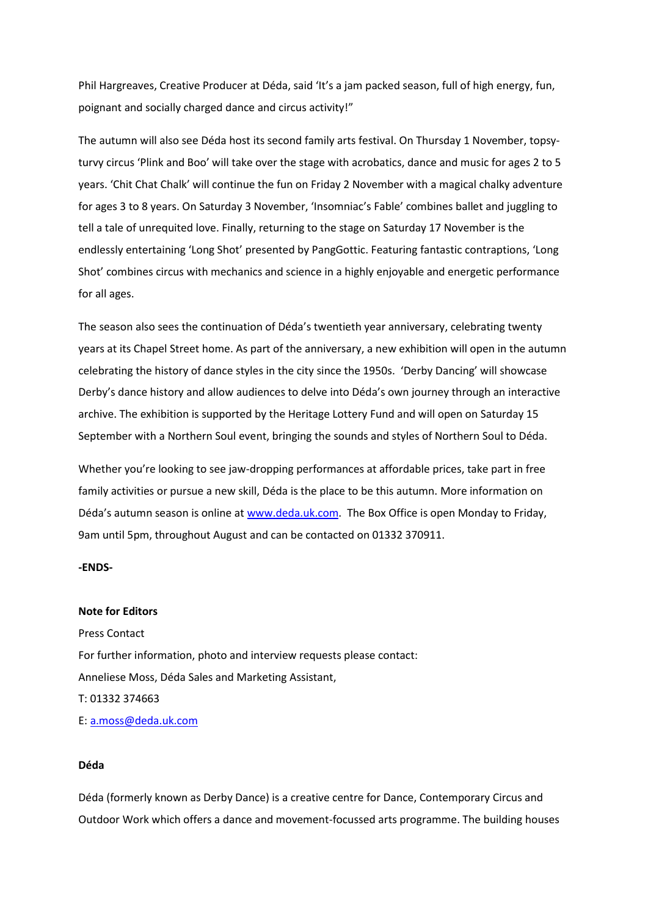Phil Hargreaves, Creative Producer at Déda, said 'It's a jam packed season, full of high energy, fun, poignant and socially charged dance and circus activity!"

The autumn will also see Déda host its second family arts festival. On Thursday 1 November, topsyturvy circus 'Plink and Boo' will take over the stage with acrobatics, dance and music for ages 2 to 5 years. 'Chit Chat Chalk' will continue the fun on Friday 2 November with a magical chalky adventure for ages 3 to 8 years. On Saturday 3 November, 'Insomniac's Fable' combines ballet and juggling to tell a tale of unrequited love. Finally, returning to the stage on Saturday 17 November is the endlessly entertaining 'Long Shot' presented by PangGottic. Featuring fantastic contraptions, 'Long Shot' combines circus with mechanics and science in a highly enjoyable and energetic performance for all ages.

The season also sees the continuation of Déda's twentieth year anniversary, celebrating twenty years at its Chapel Street home. As part of the anniversary, a new exhibition will open in the autumn celebrating the history of dance styles in the city since the 1950s. 'Derby Dancing' will showcase Derby's dance history and allow audiences to delve into Déda's own journey through an interactive archive. The exhibition is supported by the Heritage Lottery Fund and will open on Saturday 15 September with a Northern Soul event, bringing the sounds and styles of Northern Soul to Déda.

Whether you're looking to see jaw-dropping performances at affordable prices, take part in free family activities or pursue a new skill, Déda is the place to be this autumn. More information on Déda's autumn season is online at [www.deda.uk.com.](http://www.deda.uk.com/) The Box Office is open Monday to Friday, 9am until 5pm, throughout August and can be contacted on 01332 370911.

**-ENDS-**

#### **Note for Editors**

Press Contact For further information, photo and interview requests please contact: Anneliese Moss, Déda Sales and Marketing Assistant, T: 01332 374663 E: [a.moss@deda.uk.com](mailto:a.moss@deda.uk.com)

#### **Déda**

Déda (formerly known as Derby Dance) is a creative centre for Dance, Contemporary Circus and Outdoor Work which offers a dance and movement-focussed arts programme. The building houses